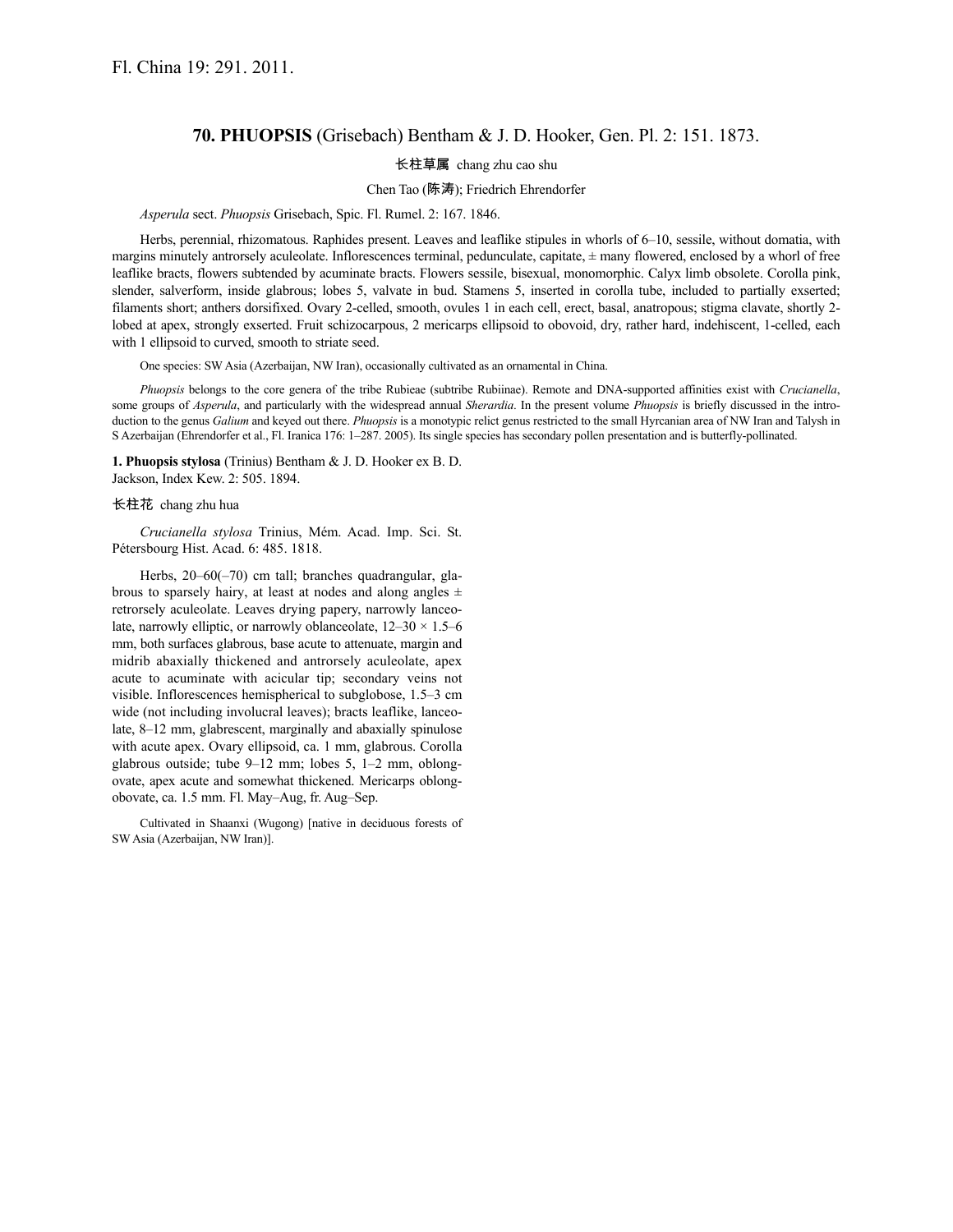# **70. PHUOPSIS** (Grisebach) Bentham & J. D. Hooker, Gen. Pl. 2: 151. 1873.

## 长柱草属 chang zhu cao shu

### Chen Tao (陈涛); Friedrich Ehrendorfer

### *Asperula* sect. *Phuopsis* Grisebach, Spic. Fl. Rumel. 2: 167. 1846.

Herbs, perennial, rhizomatous. Raphides present. Leaves and leaflike stipules in whorls of 6–10, sessile, without domatia, with margins minutely antrorsely aculeolate. Inflorescences terminal, pedunculate, capitate, ± many flowered, enclosed by a whorl of free leaflike bracts, flowers subtended by acuminate bracts. Flowers sessile, bisexual, monomorphic. Calyx limb obsolete. Corolla pink, slender, salverform, inside glabrous; lobes 5, valvate in bud. Stamens 5, inserted in corolla tube, included to partially exserted; filaments short; anthers dorsifixed. Ovary 2-celled, smooth, ovules 1 in each cell, erect, basal, anatropous; stigma clavate, shortly 2 lobed at apex, strongly exserted. Fruit schizocarpous, 2 mericarps ellipsoid to obovoid, dry, rather hard, indehiscent, 1-celled, each with 1 ellipsoid to curved, smooth to striate seed.

One species: SW Asia (Azerbaijan, NW Iran), occasionally cultivated as an ornamental in China.

*Phuopsis* belongs to the core genera of the tribe Rubieae (subtribe Rubiinae). Remote and DNA-supported affinities exist with *Crucianella*, some groups of *Asperula*, and particularly with the widespread annual *Sherardia*. In the present volume *Phuopsis* is briefly discussed in the introduction to the genus *Galium* and keyed out there. *Phuopsis* is a monotypic relict genus restricted to the small Hyrcanian area of NW Iran and Talysh in S Azerbaijan (Ehrendorfer et al., Fl. Iranica 176: 1–287. 2005). Its single species has secondary pollen presentation and is butterfly-pollinated.

**1. Phuopsis stylosa** (Trinius) Bentham & J. D. Hooker ex B. D. Jackson, Index Kew. 2: 505. 1894.

#### 长柱花 chang zhu hua

*Crucianella stylosa* Trinius, Mém. Acad. Imp. Sci. St. Pétersbourg Hist. Acad. 6: 485. 1818.

Herbs, 20–60(–70) cm tall; branches quadrangular, glabrous to sparsely hairy, at least at nodes and along angles  $\pm$ retrorsely aculeolate. Leaves drying papery, narrowly lanceolate, narrowly elliptic, or narrowly oblanceolate,  $12-30 \times 1.5-6$ mm, both surfaces glabrous, base acute to attenuate, margin and midrib abaxially thickened and antrorsely aculeolate, apex acute to acuminate with acicular tip; secondary veins not visible. Inflorescences hemispherical to subglobose, 1.5–3 cm wide (not including involucral leaves); bracts leaflike, lanceolate, 8–12 mm, glabrescent, marginally and abaxially spinulose with acute apex. Ovary ellipsoid, ca. 1 mm, glabrous. Corolla glabrous outside; tube 9–12 mm; lobes 5, 1–2 mm, oblongovate, apex acute and somewhat thickened. Mericarps oblongobovate, ca. 1.5 mm. Fl. May–Aug, fr. Aug–Sep.

Cultivated in Shaanxi (Wugong) [native in deciduous forests of SW Asia (Azerbaijan, NW Iran)].